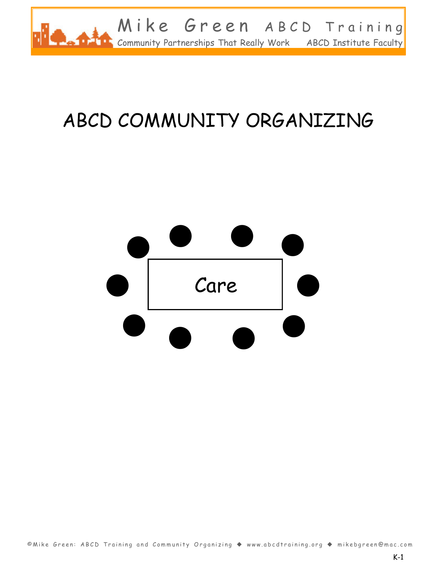

# ABCD COMMUNITY ORGANIZING

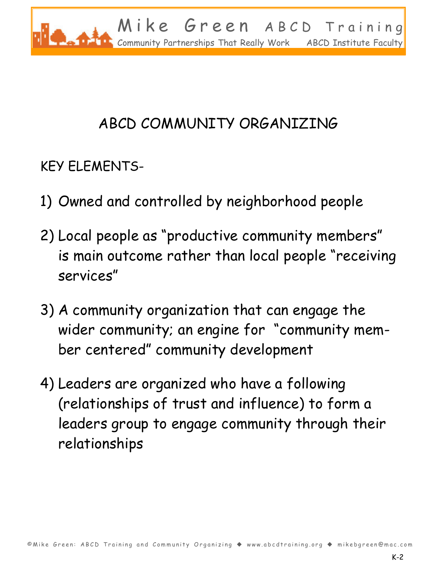

# ABCD COMMUNITY ORGANIZING

KEY ELEMENTS-

- 1) Owned and controlled by neighborhood people
- 2) Local people as "productive community members" is main outcome rather than local people "receiving services"
- 3) A community organization that can engage the wider community; an engine for "community member centered" community development
- 4) Leaders are organized who have a following (relationships of trust and influence) to form a leaders group to engage community through their relationships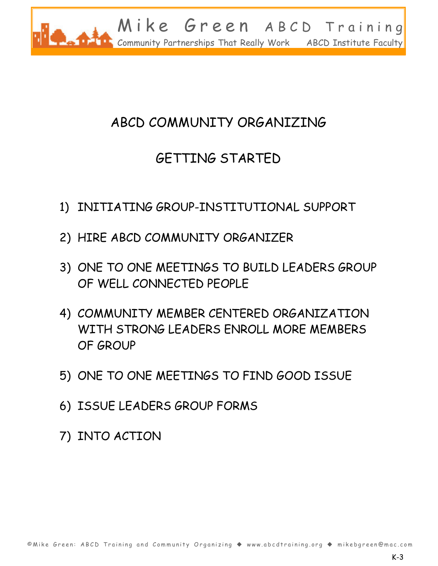

# ABCD COMMUNITY ORGANIZING

# GETTING STARTED

- 1) INITIATING GROUP-INSTITUTIONAL SUPPORT
- 2) HIRE ABCD COMMUNITY ORGANIZER
- 3) ONE TO ONE MEETINGS TO BUILD LEADERS GROUP OF WELL CONNECTED PEOPLE
- 4) COMMUNITY MEMBER CENTERED ORGANIZATION WITH STRONG LEADERS ENROLL MORE MEMBERS OF GROUP
- 5) ONE TO ONE MEETINGS TO FIND GOOD ISSUE
- 6) ISSUE LEADERS GROUP FORMS
- 7) INTO ACTION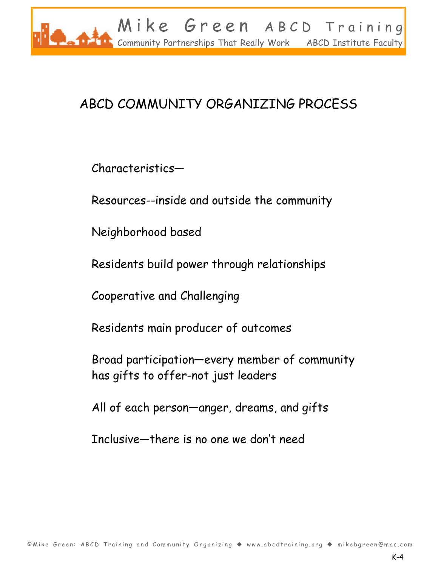

# ABCD COMMUNITY ORGANIZING PROCESS

Characteristics-

Resources--inside and outside the community

Neighborhood based

Residents build power through relationships

Cooperative and Challenging

Residents main producer of outcomes

Broad participation-every member of community has gifts to offer-not just leaders

All of each person-anger, dreams, and gifts

Inclusive-there is no one we don't need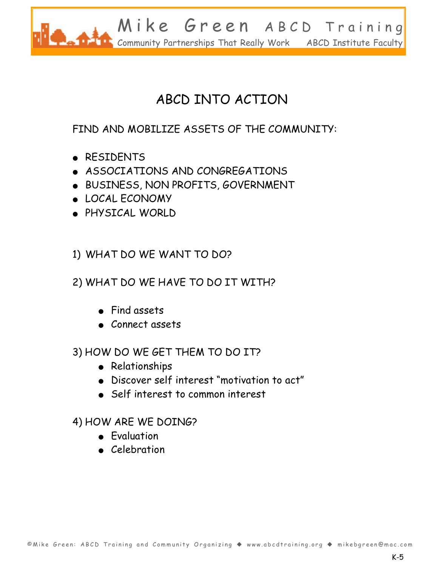

# ABCD INTO ACTION

#### FIND AND MOBILIZE ASSETS OF THE COMMUNITY:

- RESIDENTS
- ASSOCIATIONS AND CONGREGATIONS
- ٨- BUSINESS, NON PROFITS, GOVERNMENT
- ٨- LOCAL ECONOMY
- ٨- PHYSICAL WORLD

#### 1) WHAT DO WE WANT TO DO?

#### 2) WHAT DO WE HAVE TO DO IT WITH?

- $\bullet$  Find assets
- Connect assets

#### 3) HOW DO WE GET THEM TO DO IT?

- Relationships
- $\bullet$  Discover self interest "motivation to act"
- Self interest to common interest

#### 4) HOW ARE WE DOING?

- Evaluation
- Celebration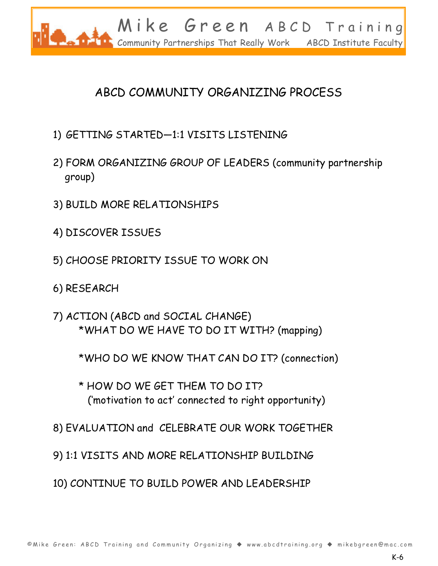

### ABCD COMMUNITY ORGANIZING PROCESS

- 1) GETTING STARTED-1:1 VISITS LISTENING
- 2) FORM ORGANIZING GROUP OF LEADERS (community partnership group)
- 3) BUILD MORE RELATIONSHIPS
- 4) DISCOVER ISSUES
- 5) CHOOSE PRIORITY ISSUE TO WORK ON
- 6) RESEARCH
- 7) ACTION (ABCD and SOCIAL CHANGE) \*WHAT DO WE HAVE TO DO IT WITH? (mapping)
	- \*WHO DO WE KNOW THAT CAN DO IT? (connection)
	- \* HOW DO WE GET THEM TO DO IT? ('motivation to act' connected to right opportunity)
- 8) EVALUATION and CELEBRATE OUR WORK TOGETHER
- 9) 1:1 VISITS AND MORE RELATIONSHIP BUILDING
- 10) CONTINUE TO BUILD POWER AND LEADERSHIP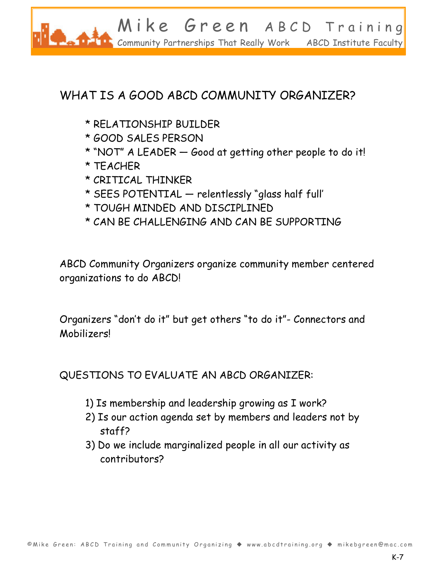

### WHAT IS A GOOD ABCD COMMUNITY ORGANIZER?

- \* RELATIONSHIP BUILDER
- \* GOOD SALES PERSON
- \* "NOT" A LEADER  $-$  Good at getting other people to do it!
- \* TEACHER
- \* CRITICAL THINKER
- $*$  SEES POTENTIAL  $-$  relentlessly "glass half full'
- \* TOUGH MINDED AND DISCIPLINED
- \* CAN BE CHALLENGING AND CAN BE SUPPORTING

ABCD Community Organizers organize community member centered organizations to do ABCD!

Organizers "don't do it" but get others "to do it"- Connectors and Mobilizers!

QUESTIONS TO EVALUATE AN ABCD ORGANIZER:

- 1) Is membership and leadership growing as I work?
- 2) Is our action agenda set by members and leaders not by staff?
- 3) Do we include marginalized people in all our activity as contributors?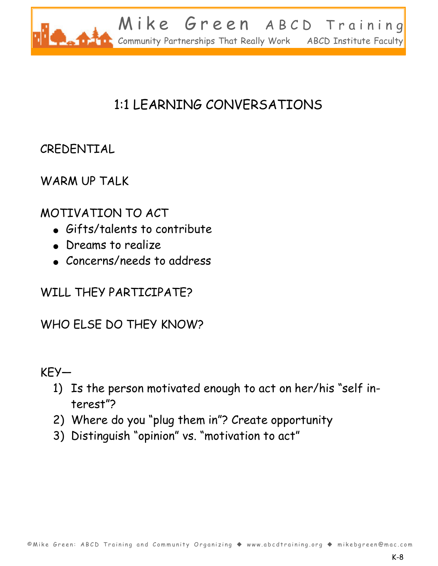

# 1:1 LEARNING CONVERSATIONS

### CREDENTIAL

#### WARM UP TALK

#### MOTIVATION TO ACT

- $\bullet$  Gifts/talents to contribute
- Dreams to realize
- Concerns/needs to address

#### WILL THEY PARTICIPATE?

#### WHO ELSE DO THEY KNOW?

#### $KFY-$

- 1) Is the person motivated enough to act on her/his "self interest"?
- 2) Where do you "plug them in"? Create opportunity
- 3) Distinguish "opinion" vs. "motivation to act"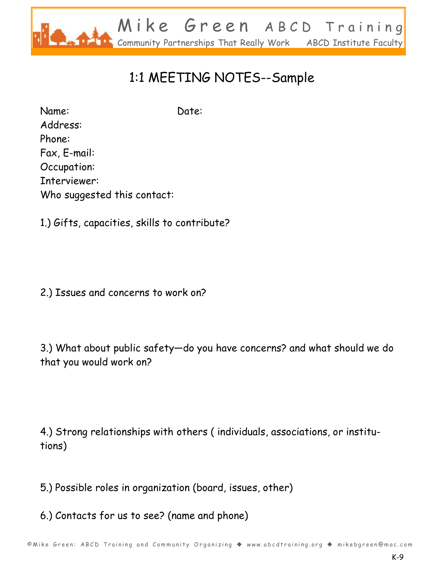

# 1:1 MEETING NOTES--Sample

Name: Date: Address: Phone: Fax, E-mail: Occupation: Interviewer: Who suggested this contact:

1.) Gifts, capacities, skills to contribute?

2.) Issues and concerns to work on?

3.) What about public safety-do you have concerns? and what should we do that you would work on?

4.) Strong relationships with others ( individuals, associations, or institutions)

5.) Possible roles in organization (board, issues, other)

6.) Contacts for us to see? (name and phone)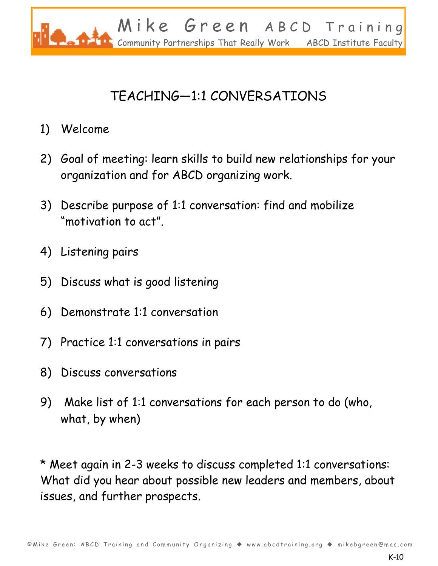

# TEACHING-1:1 CONVERSATIONS

- 1) Welcome
- 2) Goal of meeting: learn skills to build new relationships for your organization and for ABCD organizing work.
- 3) Describe purpose of 1:1 conversation: find and mobilize "motivation to act".
- 4) Listening pairs
- 5) Discuss what is good listening
- 6) Demonstrate 1:1 conversation
- 7) Practice 1:1 conversations in pairs
- 8) Discuss conversations
- 9) Make list of 1:1 conversations for each person to do (who, what, by when)

\* Meet again in 2-3 weeks to discuss completed 1:1 conversations: What did you hear about possible new leaders and members, about issues, and further prospects.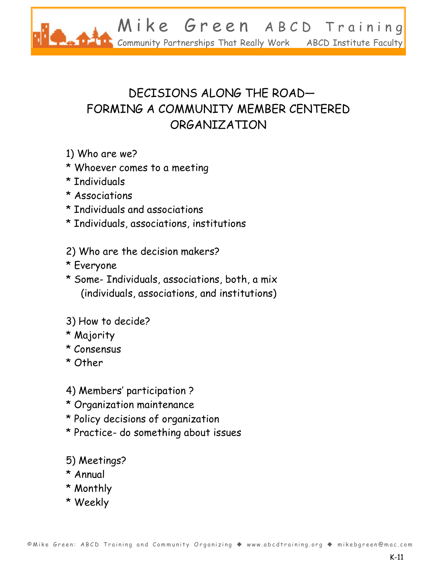

### DECISIONS ALONG THE ROAD-FORMING A COMMUNITY MEMBER CENTERED ORGANIZATION

- 1) Who are we?
- \* Whoever comes to a meeting
- \* Individuals
- \* Associations
- \* Individuals and associations
- \* Individuals, associations, institutions
- 2) Who are the decision makers?
- \* Everyone
- \* Some- Individuals, associations, both, a mix (individuals, associations, and institutions)
- 3) How to decide?
- \* Majority
- \* Consensus
- \* Other
- 4) Members' participation ?
- \* Organization maintenance
- \* Policy decisions of organization
- \* Practice- do something about issues
- 5) Meetings?
- \* Annual
- \* Monthly
- \* Weekly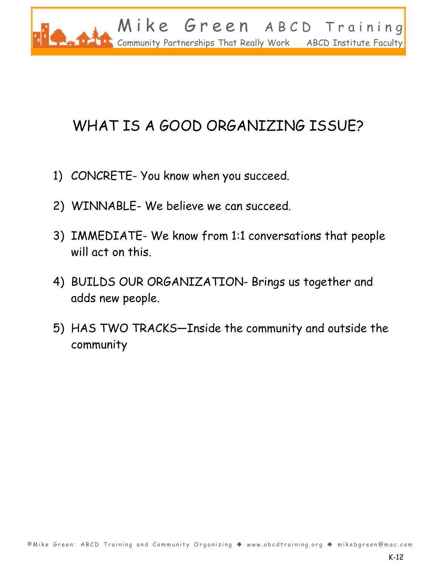

# WHAT IS A GOOD ORGANIZING ISSUE?

- 1) CONCRETE- You know when you succeed.
- 2) WINNABLE- We believe we can succeed.
- 3) IMMEDIATE- We know from 1:1 conversations that people will act on this.
- 4) BUILDS OUR ORGANIZATION- Brings us together and adds new people.
- 5) HAS TWO TRACKS-Inside the community and outside the community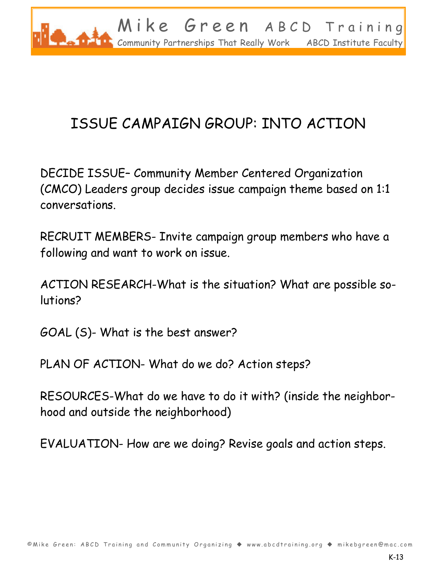

# ISSUE CAMPAIGN GROUP: INTO ACTION

DECIDE ISSUE- Community Member Centered Organization (CMCO) Leaders group decides issue campaign theme based on 1:1 conversations.

RECRUIT MEMBERS- Invite campaign group members who have a following and want to work on issue.

ACTION RESEARCH-What is the situation? What are possible solutions?

GOAL (S)- What is the best answer?

PLAN OF ACTION- What do we do? Action steps?

RESOURCES-What do we have to do it with? (inside the neighborhood and outside the neighborhood)

EVALUATION- How are we doing? Revise goals and action steps.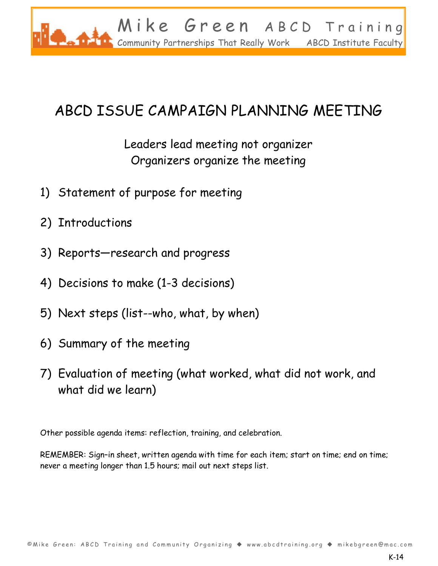

# ABCD ISSUE CAMPAIGN PLANNING MEETING

Leaders lead meeting not organizer Organizers organize the meeting

- 1) Statement of purpose for meeting
- 2) Introductions
- 3) Reports-research and progress
- 4) Decisions to make (1-3 decisions)
- 5) Next steps (list--who, what, by when)
- 6) Summary of the meeting
- 7) Evaluation of meeting (what worked, what did not work, and what did we learn)

Other possible agenda items: reflection, training, and celebration.

REMEMBER: Sign-in sheet, written agenda with time for each item; start on time; end on time; never a meeting longer than 1.5 hours; mail out next steps list.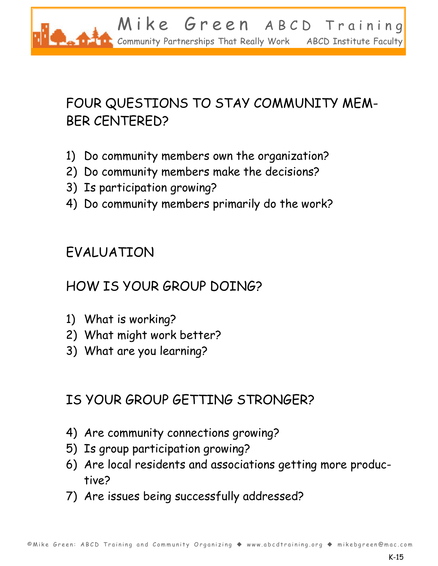

# FOUR QUESTIONS TO STAY COMMUNITY MEM-BER CENTERED?

- 1) Do community members own the organization?
- 2) Do community members make the decisions?
- 3) Is participation growing?
- 4) Do community members primarily do the work?

# EVALUATION

### HOW IS YOUR GROUP DOING?

- 1) What is working?
- 2) What might work better?
- 3) What are you learning?

### IS YOUR GROUP GETTING STRONGER?

- 4) Are community connections growing?
- 5) Is group participation growing?
- 6) Are local residents and associations getting more productive?
- 7) Are issues being successfully addressed?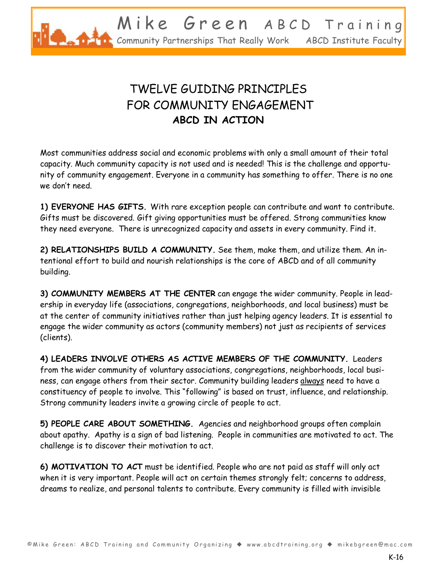

### TWELVE GUIDING PRINCIPLES FOR COMMUNITY ENGAGEMENT **ABCD IN ACTION**

Most communities address social and economic problems with only a small amount of their total capacity. Much community capacity is not used and is needed! This is the challenge and opportunity of community engagement. Everyone in a community has something to offer. There is no one we don't need.

**1) EVERYONE HAS GIFTS.** With rare exception people can contribute and want to contribute. Gifts must be discovered. Gift giving opportunities must be offered. Strong communities know they need everyone. There is unrecognized capacity and assets in every community. Find it. -

**2) RELATIONSHIPS BUILD A COMMUNITY.** See them, make them, and utilize them. An intentional effort to build and nourish relationships is the core of ABCD and of all community building.

**3) COMMUNITY MEMBERS AT THE CENTER** can engage the wider community. People in leadership in everyday life (associations, congregations, neighborhoods, and local business) must be at the center of community initiatives rather than just helping agency leaders. It is essential to engage the wider community as actors (community members) not just as recipients of services (clients).

**4) LEADERS INVOLVE OTHERS AS ACTIVE MEMBERS OF THE COMMUNITY.**-Leaders from the wider community of voluntary associations, congregations, neighborhoods, local business, can engage others from their sector. Community building leaders always need to have a constituency of people to involve. This "following" is based on trust, influence, and relationship. Strong community leaders invite a growing circle of people to act.-

**5) PEOPLE CARE ABOUT SOMETHING.** Agencies and neighborhood groups often complain about apathy. Apathy is a sign of bad listening. People in communities are motivated to act. The challenge is to discover their motivation to act.

**6) MOTIVATION TO ACT** must be identified. People who are not paid as staff will only act when it is very important. People will act on certain themes strongly felt; concerns to address, dreams to realize, and personal talents to contribute. Every community is filled with invisible